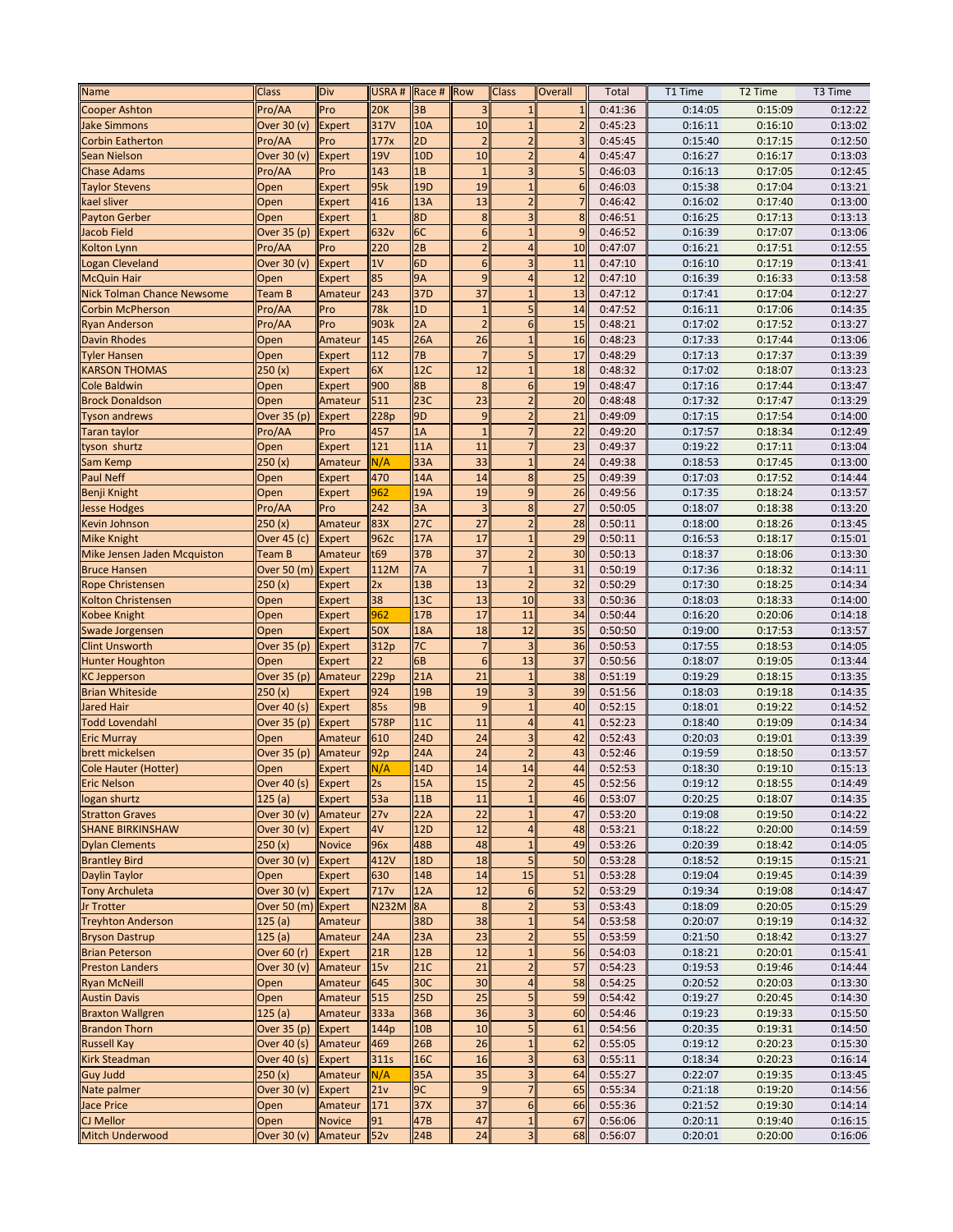| <b>Name</b>                              | Class                 | Div           | USRA#            | Race #          | Row                  | <b>Class</b>                  | <b>Overall</b>           | Total              | T1 Time | T <sub>2</sub> Time | T <sub>3</sub> Time |
|------------------------------------------|-----------------------|---------------|------------------|-----------------|----------------------|-------------------------------|--------------------------|--------------------|---------|---------------------|---------------------|
| <b>Cooper Ashton</b>                     | Pro/AA                | Pro           | <b>20K</b>       | 3B              | $\overline{3}$       | $\mathbf{1}$                  | $\mathbf{1}$             | 0:41:36            | 0:14:05 | 0:15:09             | 0:12:22             |
| <b>Jake Simmons</b>                      | Over 30 (v)           | <b>Expert</b> | 317V             | 10A             | 10                   | $\mathbf{1}$                  | $\overline{\phantom{a}}$ | 0:45:23            | 0:16:11 | 0:16:10             | 0:13:02             |
| <b>Corbin Eatherton</b>                  | Pro/AA                | Pro           | 177x             | 2D              | $\overline{2}$       | $\overline{2}$                | 3                        | 0:45:45            | 0:15:40 | 0:17:15             | 0:12:50             |
| Sean Nielson                             | Over 30 (v)           | <b>Expert</b> | 19V              | 10 <sub>D</sub> | 10                   | $\overline{2}$                | $\overline{4}$           | 0:45:47            | 0:16:27 | 0:16:17             | 0:13:03             |
| <b>Chase Adams</b>                       | Pro/AA                | Pro           | 143              | 1B              | $\mathbf{1}$         | 3                             | 5                        | 0:46:03            | 0:16:13 | 0:17:05             | 0:12:45             |
| <b>Taylor Stevens</b>                    | Open                  | <b>Expert</b> | 95k              | 19 <sub>D</sub> | 19                   | $\mathbf{1}$                  | 6                        | 0:46:03            | 0:15:38 | 0:17:04             | 0:13:21             |
| kael sliver                              | Open                  | <b>Expert</b> | 416              | 13A             | 13                   | $\overline{2}$                | $\overline{7}$           | 0:46:42            | 0:16:02 | 0:17:40             | 0:13:00             |
| <b>Payton Gerber</b>                     | Open                  | <b>Expert</b> |                  | 8D              | 8                    | 3                             | 8                        | 0:46:51            | 0:16:25 | 0:17:13             | 0:13:13             |
| Jacob Field                              | Over 35 (p)           | <b>Expert</b> | 632 <sub>v</sub> | 6C              | $6\overline{6}$      | $\mathbf{1}$                  | 9                        | 0:46:52            | 0:16:39 | 0:17:07             | 0:13:06             |
| Kolton Lynn                              | Pro/AA                | Pro           | 220              | 2B              | $\overline{2}$       | $\overline{4}$                | 10                       | 0:47:07            | 0:16:21 | 0:17:51             | 0:12:55             |
| Logan Cleveland                          | Over 30 (v)           | Expert        | 1V               | 6D              | $6\phantom{1}6$      | 3                             | 11                       | 0:47:10            | 0:16:10 | 0:17:19             | 0:13:41             |
| <b>McQuin Hair</b>                       | Open                  | <b>Expert</b> | 85               | <b>9A</b>       | $\overline{9}$       | $\overline{4}$                | 12                       | 0:47:10            | 0:16:39 | 0:16:33             | 0:13:58             |
| <b>Nick Tolman Chance Newsome</b>        | Team B                | Amateur       | 243              | 37 <sub>D</sub> | 37                   | $\overline{1}$                | 13                       | 0:47:12            | 0:17:41 | 0:17:04             | 0:12:27             |
| <b>Corbin McPherson</b>                  | Pro/AA                | Pro           | 78k              | 1D              | $\mathbf 1$          | 5                             | 14                       | 0:47:52            | 0:16:11 | 0:17:06             | 0:14:35             |
| <b>Ryan Anderson</b>                     | Pro/AA                | Pro           | 903k             | 2A              | $\overline{2}$       | $6\overline{6}$               | 15                       | 0:48:21            | 0:17:02 | 0:17:52             | 0:13:27             |
| <b>Davin Rhodes</b>                      | Open                  | Amateur       | 145              | 26A             | 26                   | $\overline{1}$                | 16                       | 0:48:23            | 0:17:33 | 0:17:44             | 0:13:06             |
| <b>Tyler Hansen</b>                      | Open                  | <b>Expert</b> | 112              | 7B              | $\overline{7}$       | 5                             | 17                       | 0:48:29            | 0:17:13 | 0:17:37             | 0:13:39             |
| <b>KARSON THOMAS</b>                     | 250(x)                | Expert        | 6X               | 12C             | 12                   | 1                             | 18                       | 0:48:32            | 0:17:02 | 0:18:07             | 0:13:23             |
| Cole Baldwin                             | Open                  | <b>Expert</b> | 900              | 8B              | 8                    | 6                             | 19                       | 0:48:47            | 0:17:16 | 0:17:44             | 0:13:47             |
| <b>Brock Donaldson</b>                   | Open                  | Amateur       | 511              | 23C             | 23                   | $\overline{2}$                | 20                       | 0:48:48            | 0:17:32 | 0:17:47             | 0:13:29             |
| <b>Tyson andrews</b>                     | Over 35 (p)           | <b>Expert</b> | 228p             | 9D              | $\overline{9}$       | $\overline{2}$                | 21                       | 0:49:09            | 0:17:15 | 0:17:54             | 0:14:00             |
| Taran taylor                             | Pro/AA                | Pro           | 457              | 1A              | $\mathbf{1}$         |                               | 22                       | 0:49:20            | 0:17:57 | 0:18:34             | 0:12:49             |
| tyson shurtz                             | Open                  | <b>Expert</b> | 121              | 11A             | 11                   | $\overline{7}$                | 23                       | 0:49:37            | 0:19:22 | 0:17:11             | 0:13:04             |
| Sam Kemp                                 | 250(x)                | Amateur       | N/A              | 33A             | 33                   | $\mathbf{1}$                  | 24                       | 0:49:38            | 0:18:53 | 0:17:45             | 0:13:00             |
| <b>Paul Neff</b>                         | Open                  | Expert        | 470              | 14A             | 14                   | 8                             | 25                       | 0:49:39            | 0:17:03 | 0:17:52             | 0:14:44             |
| Benji Knight                             | Open                  | <b>Expert</b> | 962              | 19A             | 19                   | 9                             | 26                       | 0:49:56            | 0:17:35 | 0:18:24             | 0:13:57             |
| <b>Jesse Hodges</b>                      | Pro/AA                | Pro           | 242              | 3A              | 3                    | 8                             | 27                       | 0:50:05            | 0:18:07 | 0:18:38             | 0:13:20             |
| Kevin Johnson                            | 250(x)                | Amateur       | 83X              | 27C             | 27                   | $\overline{2}$                | 28                       | 0:50:11            | 0:18:00 | 0:18:26             | 0:13:45             |
| <b>Mike Knight</b>                       | Over 45 (c)           |               | 962c             | 17A             | 17                   | $\mathbf{1}$                  | 29                       | 0:50:11            | 0:16:53 | 0:18:17             | 0:15:01             |
|                                          | Team B                | <b>Expert</b> | t69              | 37B             | 37                   | $\overline{2}$                | 30                       | 0:50:13            | 0:18:37 | 0:18:06             | 0:13:30             |
| Mike Jensen Jaden Mcquiston              |                       | Amateur       | 112M             | <b>7A</b>       | $\overline{7}$       | $\mathbf{1}$                  | 31                       | 0:50:19            | 0:17:36 | 0:18:32             | 0:14:11             |
| <b>Bruce Hansen</b>                      | Over 50 (m)           | <b>Expert</b> |                  | 13B             | 13                   | $\overline{2}$                | 32                       | 0:50:29            |         |                     |                     |
| <b>Rope Christensen</b>                  | 250(x)                | <b>Expert</b> | 2x<br>38         | 13C             | 13                   | 10                            | 33                       | 0:50:36            | 0:17:30 | 0:18:25             | 0:14:34             |
| Kolton Christensen                       | Open                  | <b>Expert</b> | 962              | 17B             | 17                   | 11                            | 34                       |                    | 0:18:03 | 0:18:33             | 0:14:00<br>0:14:18  |
| Kobee Knight                             | Open                  | Expert        |                  |                 |                      |                               |                          | 0:50:44            | 0:16:20 | 0:20:06             |                     |
| Swade Jorgensen<br><b>Clint Unsworth</b> | Open                  | Expert        | 50X              | 18A<br>7C       | 18<br>$\overline{7}$ | 12                            | 35<br>36                 | 0:50:50            | 0:19:00 | 0:17:53             | 0:13:57<br>0:14:05  |
|                                          | Over 35 (p)           | <b>Expert</b> | 312p<br>22       | 6B              | $6\phantom{1}6$      | 13                            | 37                       | 0:50:53            | 0:17:55 | 0:18:53             |                     |
| <b>Hunter Houghton</b>                   | Open                  | <b>Expert</b> | 229p             | 21A             | 21                   | $\mathbf{1}$                  | 38                       | 0:50:56            | 0:18:07 | 0:19:05             | 0:13:44<br>0:13:35  |
| <b>KC Jepperson</b>                      | Over 35 (p)<br>250(x) | Amateur       |                  |                 | 19                   | 3                             | 39                       | 0:51:19            | 0:19:29 | 0:18:15             |                     |
| <b>Brian Whiteside</b>                   |                       | <b>Expert</b> | 924              | 19B<br>9B       | 9                    | $\mathbf{1}$                  | 40                       | 0:51:56            | 0:18:03 | 0:19:18             | 0:14:35             |
| Jared Hair                               | Over 40 (s)           | <b>Expert</b> | 85s<br>578P      | 11C             | 11                   | $\overline{4}$                | 41                       | 0:52:15<br>0:52:23 | 0:18:01 | 0:19:22             | 0:14:52             |
| <b>Todd Lovendahl</b>                    | Over 35 (p)           | <b>Expert</b> |                  |                 |                      |                               |                          |                    | 0:18:40 | 0:19:09             | 0:14:34             |
| <b>Eric Murray</b>                       | Open                  | Amateur       | 610              | 24D             | 24                   | 3<br>$\overline{\phantom{a}}$ | 42                       | 0:52:43            | 0:20:03 | 0:19:01             | 0:13:39             |
| brett mickelsen                          | Over 35 (p)           | Amateur       | 92p              | 24A             | 24                   |                               | 43                       | 0:52:46            | 0:19:59 | 0:18:50             | 0:13:57             |
| Cole Hauter (Hotter)                     | Open                  | <b>Expert</b> | N/A              | 14D             | 14                   | 14                            | 44                       | 0:52:53            | 0:18:30 | 0:19:10             | 0:15:13             |
| Eric Nelson                              | Over 40 (s)           | <b>Expert</b> | 2s               | 15A             | <b>15</b>            |                               | 45                       | 0:52:56            | 0:19:12 | 0:18:55             | 0:14:49             |
| logan shurtz                             | 125(a)                | Expert        | 53a              | 11B             | 11                   | $\mathbf{1}$                  | 46                       | 0:53:07            | 0:20:25 | 0:18:07             | 0:14:35             |
| <b>Stratton Graves</b>                   | Over 30 (v)           | Amateur       | 27v              | 22A             | 22                   | $\mathbf{1}$                  | 47                       | 0:53:20            | 0:19:08 | 0:19:50             | 0:14:22             |
| <b>SHANE BIRKINSHAW</b>                  | Over 30 (v)           | <b>Expert</b> | 4V               | 12D             | 12                   | $\overline{4}$                | 48                       | 0:53:21            | 0:18:22 | 0:20:00             | 0:14:59             |
| <b>Dylan Clements</b>                    | 250(x)                | <b>Novice</b> | 96x              | 48B             | 48                   | $\mathbf{1}$                  | 49                       | 0:53:26            | 0:20:39 | 0:18:42             | 0:14:05             |
| <b>Brantley Bird</b>                     | Over 30 (v)           | <b>Expert</b> | 412V             | <b>18D</b>      | 18                   | 5                             | 50                       | 0:53:28            | 0:18:52 | 0:19:15             | 0:15:21             |
| Daylin Taylor                            | Open                  | <b>Expert</b> | 630              | 14B             | 14                   | 15                            | 51                       | 0:53:28            | 0:19:04 | 0:19:45             | 0:14:39             |
| <b>Tony Archuleta</b>                    | Over 30 (v)           | <b>Expert</b> | 717 <sub>v</sub> | 12A             | 12                   | 6                             | 52                       | 0:53:29            | 0:19:34 | 0:19:08             | 0:14:47             |
| Jr Trotter                               | Over 50 (m)           | <b>Expert</b> | N232M            | <b>8A</b>       | 8                    | $\overline{2}$                | 53                       | 0:53:43            | 0:18:09 | 0:20:05             | 0:15:29             |
| <b>Treyhton Anderson</b>                 | 125(a)                | Amateur       |                  | 38D             | 38                   | $\mathbf{1}$                  | 54                       | 0:53:58            | 0:20:07 | 0:19:19             | 0:14:32             |
| <b>Bryson Dastrup</b>                    | 125(a)                | Amateur       | 24A              | 23A             | 23                   | $\overline{2}$                | 55                       | 0:53:59            | 0:21:50 | 0:18:42             | 0:13:27             |
| <b>Brian Peterson</b>                    | Over 60 (r)           | <b>Expert</b> | 21R              | 12B             | 12                   | $\mathbf{1}$                  | 56                       | 0:54:03            | 0:18:21 | 0:20:01             | 0:15:41             |
| <b>Preston Landers</b>                   | Over 30 (v)           | Amateur       | 15v              | 21C             | 21                   | $\overline{2}$                | 57                       | 0:54:23            | 0:19:53 | 0:19:46             | 0:14:44             |
| <b>Ryan McNeill</b>                      | Open                  | Amateur       | 645              | 30C             | 30                   | $\overline{4}$                | 58                       | 0:54:25            | 0:20:52 | 0:20:03             | 0:13:30             |
| <b>Austin Davis</b>                      | Open                  | Amateur       | 515              | <b>25D</b>      | 25                   | 5                             | 59                       | 0:54:42            | 0:19:27 | 0:20:45             | 0:14:30             |
| <b>Braxton Wallgren</b>                  | 125(a)                | Amateur       | 333a             | 36B             | 36                   | 3                             | 60                       | 0:54:46            | 0:19:23 | 0:19:33             | 0:15:50             |
| <b>Brandon Thorn</b>                     | Over 35 (p)           | <b>Expert</b> | 144p             | <b>10B</b>      | 10                   | 5                             | 61                       | 0:54:56            | 0:20:35 | 0:19:31             | 0:14:50             |
| <b>Russell Kay</b>                       | Over 40 (s)           | Amateur       | 469              | 26B             | 26                   | $\mathbf{1}$                  | 62                       | 0:55:05            | 0:19:12 | 0:20:23             | 0:15:30             |
| <b>Kirk Steadman</b>                     | Over 40 (s)           | Expert        | 311s             | 16C             | 16                   | 3                             | 63                       | 0:55:11            | 0:18:34 | 0:20:23             | 0:16:14             |
| <b>Guy Judd</b>                          | 250(x)                | Amateur       | N/A              | 35A             | 35                   | 3                             | 64                       | 0:55:27            | 0:22:07 | 0:19:35             | 0:13:45             |
| Nate palmer                              | Over 30 (v)           | <b>Expert</b> | 21v              | 9C              | 9                    | $\overline{7}$                | 65                       | 0:55:34            | 0:21:18 | 0:19:20             | 0:14:56             |
| <b>Jace Price</b>                        | Open                  | Amateur       | 171              | 37X             | 37                   | 6                             | 66                       | 0:55:36            | 0:21:52 | 0:19:30             | 0:14:14             |
| <b>CJ Mellor</b>                         | Open                  | <b>Novice</b> | 91               | 47B             | 47                   | 1                             | 67                       | 0:56:06            | 0:20:11 | 0:19:40             | 0:16:15             |
| <b>Mitch Underwood</b>                   | Over 30 (v)           | Amateur       | 52v              | 24B             | 24                   | 3                             | 68                       | 0:56:07            | 0:20:01 | 0:20:00             | 0:16:06             |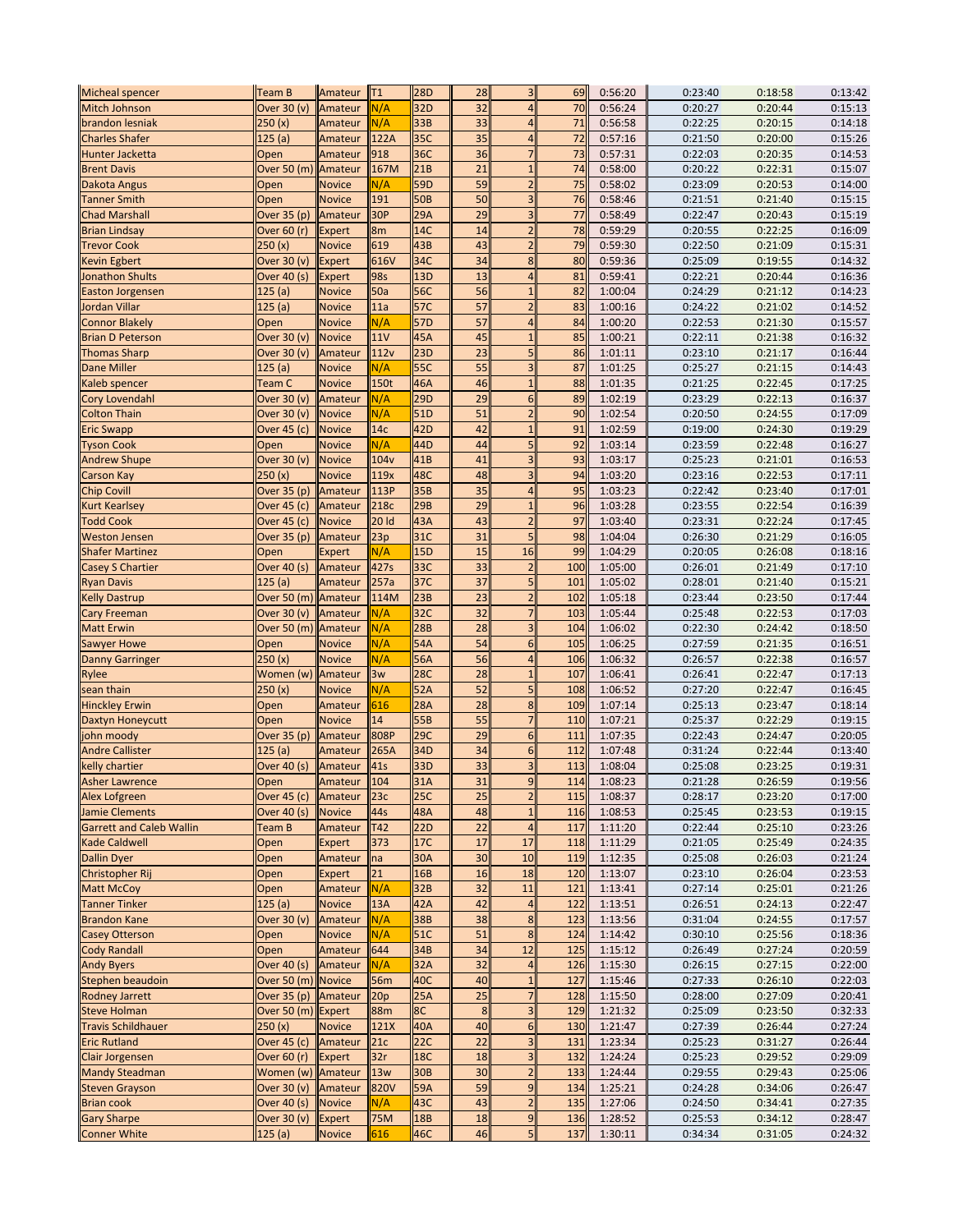| <b>Micheal spencer</b>          | Team B              | Amateur       | T1    | <b>28D</b>      | 28               | 3 <sup>1</sup>           | 69  | 0:56:20 | 0:23:40 | 0:18:58 | 0:13:42 |
|---------------------------------|---------------------|---------------|-------|-----------------|------------------|--------------------------|-----|---------|---------|---------|---------|
| Mitch Johnson                   | Over 30 (v)         | Amateur       | N/A   | 32D             | 32               | $\overline{4}$           | 70  | 0:56:24 | 0:20:27 | 0:20:44 | 0:15:13 |
| brandon lesniak                 | 250(x)              | Amateur       | N/A   | 33B             | 33               | $\overline{\mathcal{L}}$ | 71  | 0:56:58 | 0:22:25 | 0:20:15 | 0:14:18 |
| Charles Shafer                  | 125 (a)             | Amateur       | 122A  | 35C             | 35               | $\overline{4}$           | 72  | 0:57:16 | 0:21:50 | 0:20:00 | 0:15:26 |
| Hunter Jacketta                 | Open                | Amateur       | 918   | 36C             | 36               | $\overline{7}$           | 73  | 0:57:31 | 0:22:03 | 0:20:35 | 0:14:53 |
| <b>Brent Davis</b>              | Over 50 (m) Amateur |               | 167M  | 21B             | 21               | $\mathbf{1}$             | 74  | 0:58:00 | 0:20:22 | 0:22:31 | 0:15:07 |
| Dakota Angus                    | Open                | <b>Novice</b> | N/A   | 59D             | 59               | $\overline{2}$           | 75  | 0:58:02 | 0:23:09 | 0:20:53 | 0:14:00 |
|                                 |                     |               | 191   | <b>50B</b>      | 50               | 3                        | 76  |         |         |         |         |
| <b>Tanner Smith</b>             | Open                | <b>Novice</b> |       |                 |                  |                          |     | 0:58:46 | 0:21:51 | 0:21:40 | 0:15:15 |
| <b>Chad Marshall</b>            | Over 35 (p)         | Amateur       | 30P   | 29A             | 29               | 3                        | 77  | 0:58:49 | 0:22:47 | 0:20:43 | 0:15:19 |
| <b>Brian Lindsay</b>            | Over 60 (r)         | <b>Expert</b> | 8m    | 14C             | 14               | $\overline{2}$           | 78  | 0:59:29 | 0:20:55 | 0:22:25 | 0:16:09 |
| <b>Trevor Cook</b>              | 250 (x)             | <b>Novice</b> | 619   | 43B             | 43               | $\overline{\mathbf{c}}$  | 79  | 0:59:30 | 0:22:50 | 0:21:09 | 0:15:31 |
| <b>Kevin Egbert</b>             | Over 30 (v)         | <b>Expert</b> | 616V  | 34C             | 34               | 8                        | 80  | 0:59:36 | 0:25:09 | 0:19:55 | 0:14:32 |
| <b>Jonathon Shults</b>          | Over 40 (s)         | <b>Expert</b> | 98s   | 13D             | 13               | $\overline{4}$           | 81  | 0:59:41 | 0:22:21 | 0:20:44 | 0:16:36 |
| <b>Easton Jorgensen</b>         | 125(a)              | <b>Novice</b> | 50a   | 56C             | 56               | $\mathbf{1}$             | 82  | 1:00:04 | 0:24:29 | 0:21:12 | 0:14:23 |
| Jordan Villar                   | 125 (a)             | <b>Novice</b> | 11a   | 57C             | 57               | $\overline{2}$           | 83  | 1:00:16 | 0:24:22 | 0:21:02 | 0:14:52 |
| <b>Connor Blakely</b>           | Open                | <b>Novice</b> | N/A   | 57 <sub>D</sub> | 57               | $\overline{\mathbf{A}}$  | 84  | 1:00:20 | 0:22:53 | 0:21:30 | 0:15:57 |
|                                 |                     |               | 11V   |                 | 45               | 1                        | 85  |         | 0:22:11 |         |         |
| <b>Brian D Peterson</b>         | Over 30 (v)         | <b>Novice</b> |       | 45A             |                  |                          |     | 1:00:21 |         | 0:21:38 | 0:16:32 |
| <b>Thomas Sharp</b>             | Over 30 (v)         | Amateur       | 112v  | 23D             | 23               | 5                        | 86  | 1:01:11 | 0:23:10 | 0:21:17 | 0:16:44 |
| <b>Dane Miller</b>              | 125(a)              | <b>Novice</b> | N/A   | 55C             | 55               | 3                        | 87  | 1:01:25 | 0:25:27 | 0:21:15 | 0:14:43 |
| Kaleb spencer                   | Team C              | <b>Novice</b> | 150t  | 46A             | 46               | 1                        | 88  | 1:01:35 | 0:21:25 | 0:22:45 | 0:17:25 |
| Cory Lovendahl                  | Over 30 (v)         | Amateur       | N/A   | 29D             | 29               | 6                        | 89  | 1:02:19 | 0:23:29 | 0:22:13 | 0:16:37 |
| <b>Colton Thain</b>             | Over 30 (v)         | <b>Novice</b> | N/A   | 51D             | 51               | $\overline{2}$           | 90  | 1:02:54 | 0:20:50 | 0:24:55 | 0:17:09 |
| <b>Eric Swapp</b>               | Over 45 (c)         | <b>Novice</b> | 14c   | 42D             | 42               | $\mathbf{1}$             | 91  | 1:02:59 | 0:19:00 | 0:24:30 | 0:19:29 |
| <b>Tyson Cook</b>               | Open                | <b>Novice</b> | N/A   | 44D             | 44               | 5                        | 92  | 1:03:14 | 0:23:59 | 0:22:48 | 0:16:27 |
| <b>Andrew Shupe</b>             | Over 30 (v)         | <b>Novice</b> | 104v  | 41B             | 41               | 3                        | 93  | 1:03:17 | 0:25:23 | 0:21:01 | 0:16:53 |
|                                 |                     |               |       |                 |                  | 3                        | 94  |         | 0:23:16 |         |         |
| Carson Kay                      | 250 (x)             | <b>Novice</b> | 119x  | 48C             | 48               |                          |     | 1:03:20 |         | 0:22:53 | 0:17:11 |
| <b>Chip Covill</b>              | Over 35 (p)         | Amateur       | 113P  | 35B             | 35               | $\overline{4}$           | 95  | 1:03:23 | 0:22:42 | 0:23:40 | 0:17:01 |
| <b>Kurt Kearlsey</b>            | Over 45 (c)         | Amateur       | 218c  | 29B             | 29               | $\mathbf{1}$             | 96  | 1:03:28 | 0:23:55 | 0:22:54 | 0:16:39 |
| <b>Todd Cook</b>                | Over 45 (c)         | <b>Novice</b> | 20 Id | 43A             | 43               | $\overline{2}$           | 97  | 1:03:40 | 0:23:31 | 0:22:24 | 0:17:45 |
| <b>Weston Jensen</b>            | Over 35 (p)         | Amateur       | 23p   | 31C             | 31               | 5                        | 98  | 1:04:04 | 0:26:30 | 0:21:29 | 0:16:05 |
| <b>Shafer Martinez</b>          | Open                | <b>Expert</b> | N/A   | 15D             | 15               | 16                       | 99  | 1:04:29 | 0:20:05 | 0:26:08 | 0:18:16 |
| Casey S Chartier                | Over 40 (s)         | Amateur       | 427s  | 33C             | 33               | $\overline{2}$           | 100 | 1:05:00 | 0:26:01 | 0:21:49 | 0:17:10 |
| <b>Ryan Davis</b>               | 125(a)              | Amateur       | 257a  | 37C             | 37               | 5                        | 101 | 1:05:02 | 0:28:01 | 0:21:40 | 0:15:21 |
| <b>Kelly Dastrup</b>            | Over 50 (m) Amateur |               | 114M  | 23B             | 23               | $\overline{2}$           | 102 | 1:05:18 | 0:23:44 | 0:23:50 | 0:17:44 |
|                                 |                     |               |       | 32C             | 32               | $\overline{7}$           |     |         |         |         |         |
| Cary Freeman                    | Over 30 (v)         | Amateur       | N/A   |                 |                  |                          | 103 | 1:05:44 | 0:25:48 | 0:22:53 | 0:17:03 |
| <b>Matt Erwin</b>               | Over 50 (m)         | Amateur       | N/A   | 28B             | 28               | 3                        | 104 | 1:06:02 | 0:22:30 | 0:24:42 | 0:18:50 |
| <b>Sawyer Howe</b>              | Open                | <b>Novice</b> | N/A   | 54A             | 54               | 6                        | 105 | 1:06:25 | 0:27:59 | 0:21:35 | 0:16:51 |
| <b>Danny Garringer</b>          | 250(x)              | <b>Novice</b> | N/A   | 56A             | 56               | $\overline{A}$           | 106 | 1:06:32 | 0:26:57 | 0:22:38 | 0:16:57 |
| Rylee                           | Women (w)           | Amateur       | 3w    | <b>28C</b>      | 28               | $\overline{1}$           | 107 | 1:06:41 | 0:26:41 | 0:22:47 | 0:17:13 |
| sean thain                      | 250(x)              | <b>Novice</b> | N/A   | 52A             | 52               | 5                        | 108 | 1:06:52 | 0:27:20 | 0:22:47 | 0:16:45 |
| <b>Hinckley Erwin</b>           | Open                | Amateur       | 616   | <b>28A</b>      | 28               | 8                        | 109 | 1:07:14 | 0:25:13 | 0:23:47 | 0:18:14 |
| Daxtyn Honeycutt                | Open                | <b>Novice</b> | 14    | 55B             | 55               | $\overline{7}$           | 110 | 1:07:21 | 0:25:37 | 0:22:29 | 0:19:15 |
| john moody                      | Over 35 (p)         | Amateur       | 808P  | 29C             | 29               | 6                        | 111 | 1:07:35 | 0:22:43 | 0:24:47 | 0:20:05 |
| <b>Andre Callister</b>          | 125(a)              | Amateur       | 265A  | 34D             | 34               | $6\overline{6}$          | 112 | 1:07:48 | 0:31:24 | 0:22:44 | 0:13:40 |
| kelly chartier                  | Over 40 (s)         |               |       | 33D             | 33               | 3                        | 113 | 1:08:04 |         |         | 0:19:31 |
|                                 |                     | Amateur       | 41s   |                 |                  |                          |     |         | 0:25:08 | 0:23:25 |         |
| <b>Asher Lawrence</b>           | Open                | Amateur       | 104   | 31A             | 31               |                          | 114 | 1:08:23 | 0:21:28 | 0:26:59 | 0:19:56 |
| <b>Alex Lofgreen</b>            | Over 45 (c)         | Amateur       | 23c   | 25C             | 25               | $\overline{2}$           | 115 | 1:08:37 | 0:28:17 | 0:23:20 | 0:17:00 |
| <b>Jamie Clements</b>           | Over 40 (s)         | <b>Novice</b> | 44s   | 48A             | 48               | $\mathbf{1}$             | 116 | 1:08:53 | 0:25:45 | 0:23:53 | 0:19:15 |
| <b>Garrett and Caleb Wallin</b> | Team B              | Amateur       | T42   | 22D             | 22               | $\overline{4}$           | 117 | 1:11:20 | 0:22:44 | 0:25:10 | 0:23:26 |
| <b>Kade Caldwell</b>            | Open                | Expert        | 373   | 17C             | 17               | 17                       | 118 | 1:11:29 | 0:21:05 | 0:25:49 | 0:24:35 |
| <b>Dallin Dyer</b>              | Open                | Amateur       | na    | 30A             | 30               | 10                       | 119 | 1:12:35 | 0:25:08 | 0:26:03 | 0:21:24 |
| Christopher Rij                 | Open                | <b>Expert</b> | 21    | 16B             | 16               | 18                       | 120 | 1:13:07 | 0:23:10 | 0:26:04 | 0:23:53 |
| <b>Matt McCoy</b>               | Open                | Amateur       | N/A   | 32B             | 32               | 11                       | 121 | 1:13:41 | 0:27:14 | 0:25:01 | 0:21:26 |
| <b>Tanner Tinker</b>            | 125 (a)             | <b>Novice</b> | 13A   | 42A             | 42               | $\overline{4}$           | 122 | 1:13:51 | 0:26:51 | 0:24:13 | 0:22:47 |
|                                 |                     |               |       |                 |                  |                          |     |         |         |         | 0:17:57 |
| <b>Brandon Kane</b>             | Over 30 (v)         | Amateur       | N/A   | 38B             | 38               | 8                        | 123 | 1:13:56 | 0:31:04 | 0:24:55 |         |
| <b>Casey Otterson</b>           | Open                | <b>Novice</b> | N/A   | 51C             | 51               | 8                        | 124 | 1:14:42 | 0:30:10 | 0:25:56 | 0:18:36 |
| <b>Cody Randall</b>             | Open                | Amateur       | 644   | 34B             | 34               | 12                       | 125 | 1:15:12 | 0:26:49 | 0:27:24 | 0:20:59 |
| <b>Andy Byers</b>               | Over 40 (s)         | Amateur       | N/A   | 32A             | 32               | $\overline{4}$           | 126 | 1:15:30 | 0:26:15 | 0:27:15 | 0:22:00 |
| Stephen beaudoin                | Over 50 (m) Novice  |               | 56m   | 40C             | 40               | 1                        | 127 | 1:15:46 | 0:27:33 | 0:26:10 | 0:22:03 |
| <b>Rodney Jarrett</b>           | Over 35 (p)         | Amateur       | 20p   | 25A             | 25               |                          | 128 | 1:15:50 | 0:28:00 | 0:27:09 | 0:20:41 |
| <b>Steve Holman</b>             | Over 50 (m) Expert  |               | 88m   | 8C              | $\boldsymbol{8}$ | 3                        | 129 | 1:21:32 | 0:25:09 | 0:23:50 | 0:32:33 |
| <b>Travis Schildhauer</b>       | 250 (x)             | <b>Novice</b> | 121X  | 40A             | 40               | 6                        | 130 | 1:21:47 | 0:27:39 | 0:26:44 | 0:27:24 |
| <b>Eric Rutland</b>             | Over 45 (c) Amateur |               | 21c   | <b>22C</b>      | 22               | 3                        | 131 | 1:23:34 | 0:25:23 | 0:31:27 | 0:26:44 |
|                                 |                     |               | 32r   | <b>18C</b>      | 18               | 3                        | 132 | 1:24:24 | 0:25:23 | 0:29:52 | 0:29:09 |
| <b>Clair Jorgensen</b>          | Over 60 (r) Expert  |               |       |                 |                  |                          |     |         |         |         |         |
| <b>Mandy Steadman</b>           | Women (w) Amateur   |               | 13w   | 30B             | 30               | $\overline{2}$           | 133 | 1:24:44 | 0:29:55 | 0:29:43 | 0:25:06 |
| <b>Steven Grayson</b>           | Over 30 (v)         | Amateur       | 820V  | 59A             | 59               | 9                        | 134 | 1:25:21 | 0:24:28 | 0:34:06 | 0:26:47 |
| <b>Brian cook</b>               | Over 40 (s)         | <b>Novice</b> | N/A   | 43C             | 43               | $\overline{2}$           | 135 | 1:27:06 | 0:24:50 | 0:34:41 | 0:27:35 |
| <b>Gary Sharpe</b>              | Over 30 (v) Expert  |               | 75M   | 18B             | 18               | 9                        | 136 | 1:28:52 | 0:25:53 | 0:34:12 | 0:28:47 |
| <b>Conner White</b>             | 125(a)              | <b>Novice</b> | 616   | 46C             | 46               | 5 <sup>1</sup>           | 137 | 1:30:11 | 0:34:34 | 0:31:05 | 0:24:32 |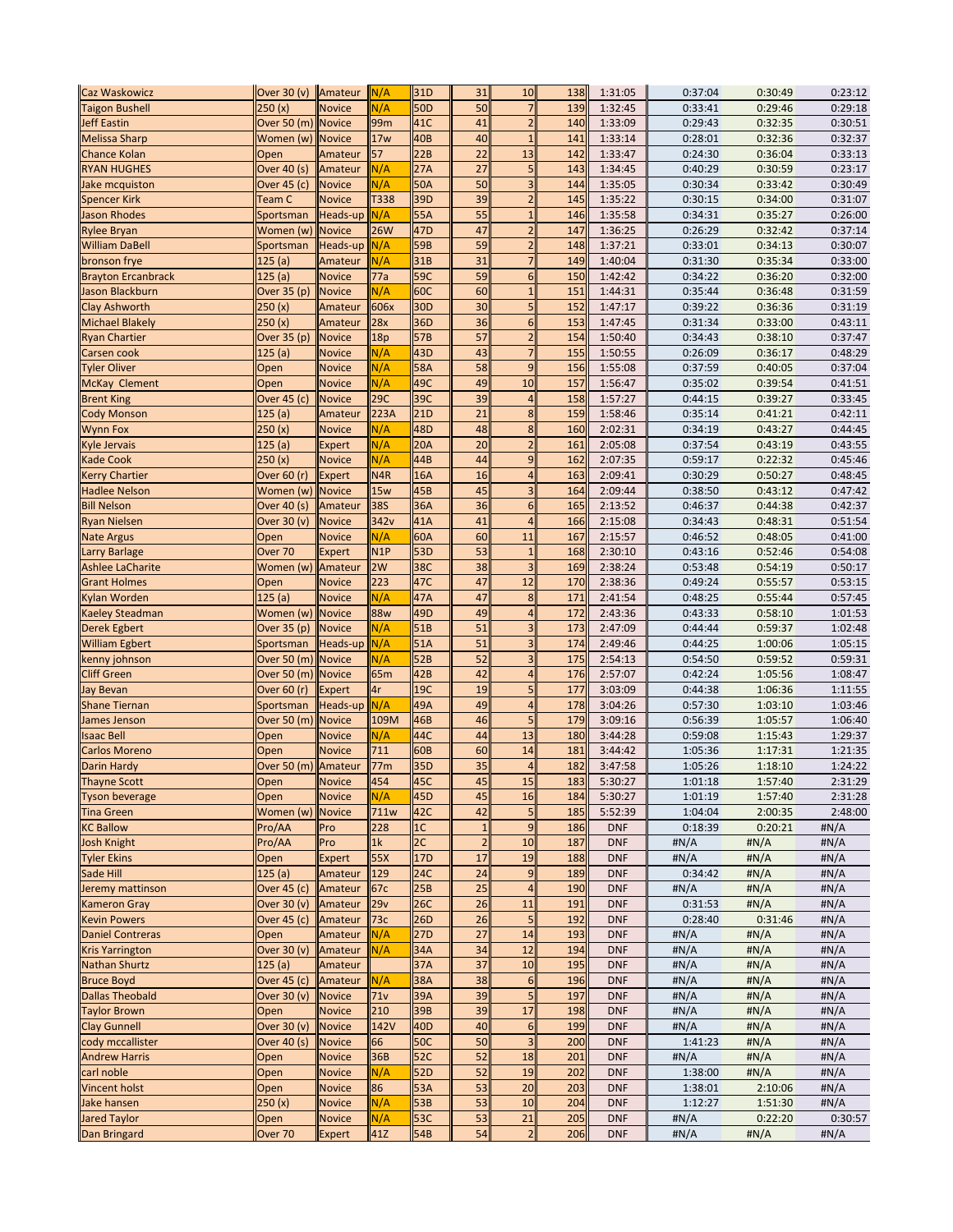| <b>Caz Waskowicz</b>      | Over 30 (v) Amateur |               | N/A              | 31D             | 31             | 10               | 138 | 1:31:05    | 0:37:04 | 0:30:49 | 0:23:12 |
|---------------------------|---------------------|---------------|------------------|-----------------|----------------|------------------|-----|------------|---------|---------|---------|
| <b>Taigon Bushell</b>     | 250(x)              | <b>Novice</b> | N/A              | <b>50D</b>      | 50             |                  | 139 | 1:32:45    | 0:33:41 | 0:29:46 | 0:29:18 |
| <b>Jeff Eastin</b>        | Over 50 (m) Novice  |               | 99m              | 41C             | 41             | $\overline{c}$   | 140 | 1:33:09    | 0:29:43 | 0:32:35 | 0:30:51 |
| <b>Melissa Sharp</b>      | Women (w)           | <b>Novice</b> | 17w              | 40B             | 40             | $\mathbf{1}$     | 141 | 1:33:14    | 0:28:01 | 0:32:36 | 0:32:37 |
| <b>Chance Kolan</b>       | Open                | Amateur       | 57               | 22B             | 22             | 13               | 142 | 1:33:47    | 0:24:30 | 0:36:04 | 0:33:13 |
| <b>RYAN HUGHES</b>        | Over 40 (s)         | Amateur       | N/A              | 27A             | 27             | 5                | 143 | 1:34:45    | 0:40:29 | 0:30:59 | 0:23:17 |
| Jake mcquiston            | Over 45 (c)         | <b>Novice</b> | N/A              | 50A             | 50             | 3                | 144 | 1:35:05    | 0:30:34 | 0:33:42 | 0:30:49 |
| <b>Spencer Kirk</b>       | Team C              | <b>Novice</b> | T338             | 39D             | 39             | $\overline{2}$   | 145 | 1:35:22    | 0:30:15 | 0:34:00 | 0:31:07 |
| <b>Jason Rhodes</b>       | Sportsman           | Heads-up      | N/A              | 55A             | 55             | $\mathbf{1}$     | 146 | 1:35:58    | 0:34:31 | 0:35:27 | 0:26:00 |
| <b>Rylee Bryan</b>        | Women (w)           | <b>Novice</b> | 26W              | 47 <sub>D</sub> | 47             | $\overline{2}$   | 147 | 1:36:25    | 0:26:29 | 0:32:42 | 0:37:14 |
| <b>William DaBell</b>     | Sportsman           | Heads-up      | N/A              | 59B             | 59             | $\overline{2}$   | 148 | 1:37:21    | 0:33:01 | 0:34:13 | 0:30:07 |
| bronson frye              | 125 (a)             | Amateur       | N/A              | 31B             | 31             | $\overline{7}$   | 149 | 1:40:04    | 0:31:30 | 0:35:34 | 0:33:00 |
| <b>Brayton Ercanbrack</b> | 125 (a)             | <b>Novice</b> | 77a              | 59C             | 59             | 6                | 150 | 1:42:42    | 0:34:22 | 0:36:20 | 0:32:00 |
| Jason Blackburn           | Over 35 (p)         | <b>Novice</b> | N/A              | 60C             | 60             | $\mathbf{1}$     | 151 | 1:44:31    | 0:35:44 | 0:36:48 | 0:31:59 |
| <b>Clay Ashworth</b>      | 250 (x)             | Amateur       | 606x             | 30 <sub>D</sub> | 30             | 5                | 152 | 1:47:17    | 0:39:22 | 0:36:36 | 0:31:19 |
| <b>Michael Blakely</b>    | 250 (x)             | Amateur       | 28x              | 36D             | 36             | $6\phantom{1}6$  | 153 | 1:47:45    | 0:31:34 | 0:33:00 | 0:43:11 |
| <b>Ryan Chartier</b>      | Over 35 (p)         | <b>Novice</b> | 18p              | 57B             | 57             | $\overline{2}$   | 154 | 1:50:40    | 0:34:43 | 0:38:10 | 0:37:47 |
| Carsen cook               | 125(a)              | <b>Novice</b> | N/A              | 43D             | 43             | $\overline{7}$   | 155 | 1:50:55    | 0:26:09 | 0:36:17 | 0:48:29 |
| <b>Tyler Oliver</b>       | Open                | <b>Novice</b> | N/A              | 58A             | 58             | 9                | 156 | 1:55:08    | 0:37:59 | 0:40:05 | 0:37:04 |
| <b>McKay Clement</b>      | Open                | <b>Novice</b> | N/A              | 49C             | 49             | 10               | 157 | 1:56:47    | 0:35:02 | 0:39:54 | 0:41:51 |
|                           |                     | <b>Novice</b> | 29C              | 39C             | 39             | $\overline{4}$   | 158 | 1:57:27    | 0:44:15 | 0:39:27 | 0:33:45 |
| <b>Brent King</b>         | Over 45 (c)         |               | 223A             | 21D             | 21             | 8                | 159 |            | 0:35:14 |         |         |
| <b>Cody Monson</b>        | 125(a)              | Amateur       |                  |                 |                |                  |     | 1:58:46    |         | 0:41:21 | 0:42:11 |
| <b>Wynn Fox</b>           | 250 (x)             | <b>Novice</b> | N/A              | 48D             | 48             | $\boldsymbol{8}$ | 160 | 2:02:31    | 0:34:19 | 0:43:27 | 0:44:45 |
| Kyle Jervais              | 125(a)              | <b>Expert</b> | N/A              | <b>20A</b>      | 20             | $\overline{2}$   | 161 | 2:05:08    | 0:37:54 | 0:43:19 | 0:43:55 |
| <b>Kade Cook</b>          | 250(x)              | <b>Novice</b> | N/A              | 44B             | 44             | 9                | 162 | 2:07:35    | 0:59:17 | 0:22:32 | 0:45:46 |
| <b>Kerry Chartier</b>     | Over 60 (r)         | <b>Expert</b> | N4R              | 16A             | 16             | 4                | 163 | 2:09:41    | 0:30:29 | 0:50:27 | 0:48:45 |
| <b>Hadlee Nelson</b>      | Women (w)           | <b>Novice</b> | 15w              | 45B             | 45             | 3                | 164 | 2:09:44    | 0:38:50 | 0:43:12 | 0:47:42 |
| <b>Bill Nelson</b>        | Over 40 (s)         | Amateur       | 38S              | 36A             | 36             | 6                | 165 | 2:13:52    | 0:46:37 | 0:44:38 | 0:42:37 |
| <b>Ryan Nielsen</b>       | Over 30 (v)         | <b>Novice</b> | 342 <sub>v</sub> | 41A             | 41             | $\overline{4}$   | 166 | 2:15:08    | 0:34:43 | 0:48:31 | 0:51:54 |
| <b>Nate Argus</b>         | Open                | <b>Novice</b> | N/A              | 60A             | 60             | 11               | 167 | 2:15:57    | 0:46:52 | 0:48:05 | 0:41:00 |
| <b>Larry Barlage</b>      | Over 70             | <b>Expert</b> | N1P              | 53D             | 53             | $\mathbf{1}$     | 168 | 2:30:10    | 0:43:16 | 0:52:46 | 0:54:08 |
| <b>Ashlee LaCharite</b>   | Women (w) Amateur   |               | 2W               | 38C             | 38             | 3                | 169 | 2:38:24    | 0:53:48 | 0:54:19 | 0:50:17 |
| <b>Grant Holmes</b>       | Open                | <b>Novice</b> | 223              | 47C             | 47             | 12               | 170 | 2:38:36    | 0:49:24 | 0:55:57 | 0:53:15 |
| Kylan Worden              | 125 (a)             | <b>Novice</b> | N/A              | 47A             | 47             | 8                | 171 | 2:41:54    | 0:48:25 | 0:55:44 | 0:57:45 |
| Kaeley Steadman           | Women (w)           | <b>Novice</b> | <b>88w</b>       | 49D             | 49             | $\overline{4}$   | 172 | 2:43:36    | 0:43:33 | 0:58:10 | 1:01:53 |
| Derek Egbert              | Over 35 (p)         | <b>Novice</b> | N/A              | 51B             | 51             | 3                | 173 | 2:47:09    | 0:44:44 | 0:59:37 | 1:02:48 |
| <b>William Egbert</b>     | Sportsman           | Heads-up      | N/A              | 51A             | 51             | 3                | 174 | 2:49:46    | 0:44:25 | 1:00:06 | 1:05:15 |
| kenny johnson             | Over 50 (m)         | <b>Novice</b> | N/A              | 52B             | 52             | 3                | 175 | 2:54:13    | 0:54:50 | 0:59:52 | 0:59:31 |
| <b>Cliff Green</b>        | Over 50 (m)         | <b>Novice</b> | 65m              | 42B             | 42             | $\overline{4}$   | 176 | 2:57:07    | 0:42:24 | 1:05:56 | 1:08:47 |
| Jay Bevan                 | Over 60 (r)         | <b>Expert</b> | 4r               | 19C             | 19             | 5                | 177 | 3:03:09    | 0:44:38 | 1:06:36 | 1:11:55 |
| Shane Tiernan             | Sportsman           | Heads-up      | N/A              | 49A             | 49             | $\overline{4}$   | 178 | 3:04:26    | 0:57:30 | 1:03:10 | 1:03:46 |
| James Jenson              | Over 50 (m)         | <b>Novice</b> | 109M             | 46B             | 46             | 5                | 179 | 3:09:16    | 0:56:39 | 1:05:57 | 1:06:40 |
| <b>Isaac Bell</b>         | Open                | <b>Novice</b> | N/A              | 44C             | 44             | 13               | 180 | 3:44:28    | 0:59:08 | 1:15:43 | 1:29:37 |
| Carlos Moreno             | Open                | <b>Novice</b> | 711              | 60B             | 60             | 14               | 181 | 3:44:42    | 1:05:36 | 1:17:31 | 1:21:35 |
| <b>Darin Hardy</b>        | Over 50 (m) Amateur |               | 77m              | 35D             | 35             | 4                | 182 | 3:47:58    | 1:05:26 | 1:18:10 | 1:24:22 |
| <b>Thayne Scott</b>       | Open                | <b>Novice</b> | 454              | 45C             | 45             | 15               | 183 | 5:30:27    | 1:01:18 | 1:57:40 | 2:31:29 |
| <b>Tyson beverage</b>     | Open                | <b>Novice</b> | N/A              | 45D             | 45             | 16               | 184 | 5:30:27    | 1:01:19 | 1:57:40 | 2:31:28 |
| <b>Tina Green</b>         | Women (w)           | <b>Novice</b> | 711w             | 42C             | 42             | 5                | 185 | 5:52:39    | 1:04:04 | 2:00:35 | 2:48:00 |
| <b>KC Ballow</b>          | Pro/AA              | Pro           | 228              | 1 <sup>C</sup>  | $\mathbf 1$    | 9                | 186 | <b>DNF</b> | 0:18:39 | 0:20:21 | #N/A    |
| <b>Josh Knight</b>        | Pro/AA              | Pro           | 1k               | 2C              | $\overline{2}$ | 10               | 187 | <b>DNF</b> | #N/A    | #N/A    | #N/A    |
| <b>Tyler Ekins</b>        | Open                | <b>Expert</b> | 55X              | 17 <sub>D</sub> | 17             | 19               | 188 | <b>DNF</b> | #N/A    | #N/A    | #N/A    |
| Sade Hill                 | 125(a)              | Amateur       | 129              | 24C             | 24             | 9                | 189 | <b>DNF</b> | 0:34:42 | #N/A    | #N/A    |
| Jeremy mattinson          | Over 45 (c)         | Amateur       | 67с              | 25B             | 25             | $\overline{4}$   | 190 | <b>DNF</b> | #N/A    | #N/A    | #N/A    |
| <b>Kameron Gray</b>       | Over 30 (v)         | Amateur       | 29v              | 26C             | 26             | 11               | 191 | <b>DNF</b> | 0:31:53 | #N/A    | #N/A    |
| <b>Kevin Powers</b>       | Over 45 (c)         | Amateur       | 73с              | 26D             | 26             | 5                | 192 | <b>DNF</b> | 0:28:40 | 0:31:46 | #N/A    |
| <b>Daniel Contreras</b>   | Open                | Amateur       | N/A              | 27D             | 27             | 14               | 193 | <b>DNF</b> | #N/A    | #N/A    | #N/A    |
| <b>Kris Yarrington</b>    | Over 30 (v)         | Amateur       | N/A              | 34A             | 34             | 12               | 194 | <b>DNF</b> | #N/A    | #N/A    | #N/A    |
| <b>Nathan Shurtz</b>      | 125(a)              | Amateur       |                  | 37A             | 37             | 10               | 195 | <b>DNF</b> | #N/A    | #N/A    | #N/A    |
| <b>Bruce Boyd</b>         | Over $45$ (c)       | Amateur       | N/A              | 38A             | 38             | 6                | 196 | <b>DNF</b> | #N/A    | #N/A    | #N/A    |
| <b>Dallas Theobald</b>    | Over 30 (v)         | <b>Novice</b> | 71v              | 39A             | 39             | 5                | 197 | <b>DNF</b> | #N/A    | #N/A    | #N/A    |
| <b>Taylor Brown</b>       | Open                | <b>Novice</b> | 210              | 39B             | 39             | 17               | 198 | <b>DNF</b> | #N/A    | #N/A    | #N/A    |
| <b>Clay Gunnell</b>       | Over 30 (v)         | <b>Novice</b> | 142V             | 40 <sub>D</sub> | 40             | $6 \overline{6}$ | 199 | <b>DNF</b> | #N/A    | #N/A    | #N/A    |
| cody mccallister          | Over 40 (s)         | <b>Novice</b> | 66               | 50C             | 50             | 3                | 200 | <b>DNF</b> | 1:41:23 | #N/A    | #N/A    |
| <b>Andrew Harris</b>      | Open                | <b>Novice</b> | 36B              | 52C             | 52             | 18               | 201 | <b>DNF</b> | #N/A    | #N/A    | #N/A    |
| carl noble                | Open                | <b>Novice</b> | N/A              | 52D             | 52             | 19               | 202 | <b>DNF</b> | 1:38:00 | #N/A    | #N/A    |
| <b>Vincent holst</b>      | Open                | <b>Novice</b> | 86               | 53A             | 53             | 20               | 203 | <b>DNF</b> | 1:38:01 | 2:10:06 | #N/A    |
| Jake hansen               | 250(x)              | <b>Novice</b> | N/A              | 53B             | 53             | 10               | 204 | <b>DNF</b> | 1:12:27 | 1:51:30 | #N/A    |
| <b>Jared Taylor</b>       | Open                | <b>Novice</b> | N/A              | 53C             | 53             | 21               | 205 | <b>DNF</b> | #N/A    | 0:22:20 | 0:30:57 |
| <b>Dan Bringard</b>       | Over 70             | <b>Expert</b> | 41Z              | 54B             | 54             | $\overline{2}$   | 206 | <b>DNF</b> | #N/A    | #N/A    | #N/A    |
|                           |                     |               |                  |                 |                |                  |     |            |         |         |         |